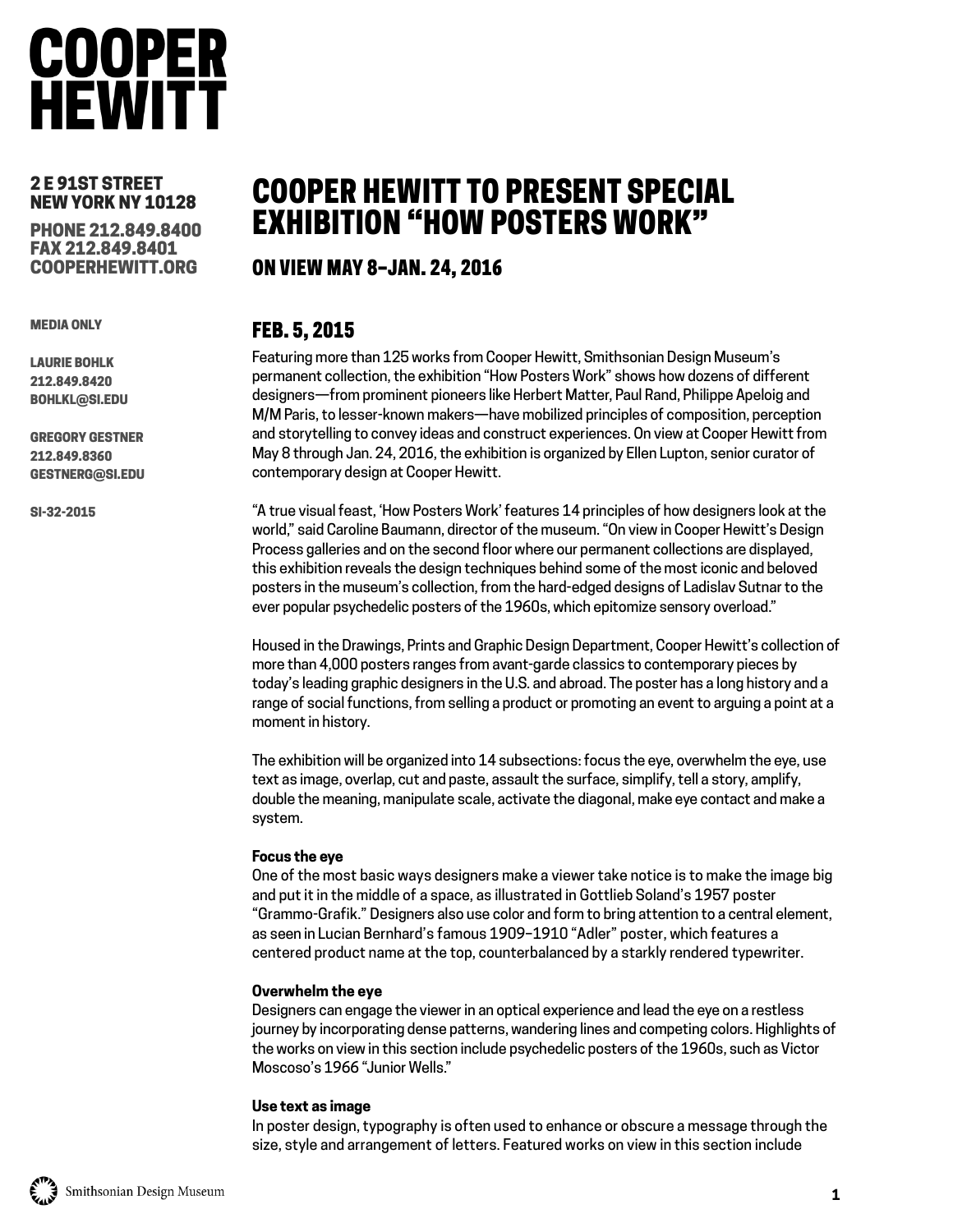## **COOPER HEWITT**

#### 2 E 91ST STREET NEW YORK NY 10128

PHONE 212.849.8400 FAX 212.849.8401 COOPERHEWITT.ORG

MEDIA ONLY

LAURIE BOHLK 212.849.8420 BOHLKL@SI.EDU

GREGORY GESTNER 212.849.8360 GESTNERG@SI.EDU

SI-32-2015

### COOPER HEWITT TO PRESENT SPECIAL EXHIBITION "HOW POSTERS WORK"

### ON VIEW MAY 8–JAN. 24, 2016

### FEB. 5, 2015

Featuring more than 125 works from Cooper Hewitt, Smithsonian Design Museum's permanent collection, the exhibition "How Posters Work" shows how dozens of different designers—from prominent pioneers like Herbert Matter, Paul Rand, Philippe Apeloig and M/M Paris, to lesser-known makers—have mobilized principles of composition, perception and storytelling to convey ideas and construct experiences. On view at Cooper Hewitt from May 8 through Jan. 24, 2016, the exhibition is organized by Ellen Lupton, senior curator of contemporary design at Cooper Hewitt.

"A true visual feast, 'How Posters Work' features 14 principles of how designers look at the world," said Caroline Baumann, director of the museum. "On view in Cooper Hewitt's Design Process galleries and on the second floor where our permanent collections are displayed, this exhibition reveals the design techniques behind some of the most iconic and beloved posters in the museum's collection, from the hard-edged designs of Ladislav Sutnar to the ever popular psychedelic posters of the 1960s, which epitomize sensory overload."

Housed in the Drawings, Prints and Graphic Design Department, Cooper Hewitt's collection of more than 4,000 posters ranges from avant-garde classics to contemporary pieces by today's leading graphic designers in the U.S. and abroad. The poster has a long history and a range of social functions, from selling a product or promoting an event to arguing a point at a moment in history.

The exhibition will be organized into 14 subsections: focus the eye, overwhelm the eye, use text as image, overlap, cut and paste, assault the surface, simplify, tell a story, amplify, double the meaning, manipulate scale, activate the diagonal, make eye contact and make a system.

#### **Focus the eye**

One of the most basic ways designers make a viewer take notice is to make the image big and put it in the middle of a space, as illustrated in Gottlieb Soland's 1957 poster "Grammo-Grafik." Designers also use color and form to bring attention to a central element, as seen in Lucian Bernhard's famous 1909–1910 "Adler" poster, which features a centered product name at the top, counterbalanced by a starkly rendered typewriter.

#### **Overwhelm the eye**

Designers can engage the viewer in an optical experience and lead the eye on a restless journey by incorporating dense patterns, wandering lines and competing colors. Highlights of the works on view in this section include psychedelic posters of the 1960s, such as Victor Moscoso's 1966 "Junior Wells."

#### **Use text as image**

In poster design, typography is often used to enhance or obscure a message through the size, style and arrangement of letters. Featured works on view in this section include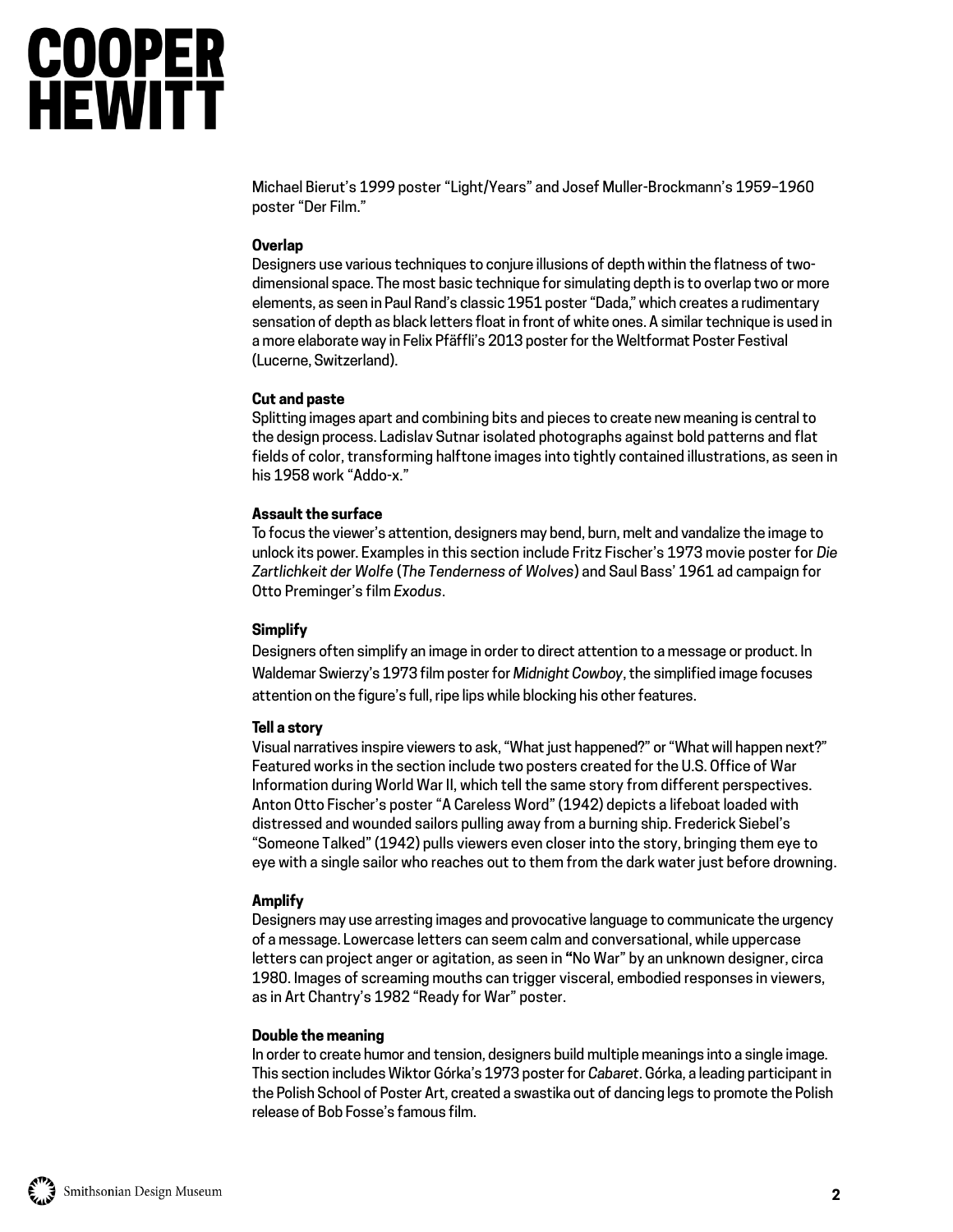# **COOPER<br>HEWITT**

Michael Bierut's 1999 poster "Light/Years" and Josef Muller-Brockmann's 1959–1960 poster "Der Film."

#### **Overlap**

Designers use various techniques to conjure illusions of depth within the flatness of twodimensional space. The most basic technique for simulating depth is to overlap two or more elements, as seen in Paul Rand's classic 1951 poster "Dada," which creates a rudimentary sensation of depth as black letters float in front of white ones. A similar technique is used in a more elaborate way in Felix Pfäffli's 2013 poster for the Weltformat Poster Festival (Lucerne, Switzerland).

#### **Cut and paste**

Splitting images apart and combining bits and pieces to create new meaning is central to the design process. Ladislav Sutnar isolated photographs against bold patterns and flat fields of color, transforming halftone images into tightly contained illustrations, as seen in his 1958 work "Addo-x."

#### **Assault the surface**

To focus the viewer's attention, designers may bend, burn, melt and vandalize the image to unlock its power. Examples in this section include Fritz Fischer's 1973 movie poster for *Die Zartlichkeit der Wolfe* (*The Tenderness of Wolves*) and Saul Bass' 1961 ad campaign for Otto Preminger's film *Exodus*.

#### **Simplify**

Designers often simplify an image in order to direct attention to a message or product. In Waldemar Swierzy's 1973 film poster for *Midnight Cowboy*, the simplified image focuses attention on the figure's full, ripe lips while blocking his other features.

#### **Tell a story**

Visual narratives inspire viewers to ask, "What just happened?" or "What will happen next?" Featured works in the section include two posters created for the U.S. Office of War Information during World War II, which tell the same story from different perspectives. Anton Otto Fischer's poster "A Careless Word" (1942) depicts a lifeboat loaded with distressed and wounded sailors pulling away from a burning ship. Frederick Siebel's "Someone Talked" (1942) pulls viewers even closer into the story, bringing them eye to eye with a single sailor who reaches out to them from the dark water just before drowning.

#### **Amplify**

Designers may use arresting images and provocative language to communicate the urgency of a message. Lowercase letters can seem calm and conversational, while uppercase letters can project anger or agitation, as seen in **"**No War" by an unknown designer, circa 1980. Images of screaming mouths can trigger visceral, embodied responses in viewers, as in Art Chantry's 1982 "Ready for War" poster.

#### **Double the meaning**

In order to create humor and tension, designers build multiple meanings into a single image. This section includes Wiktor Górka's 1973 poster for *Cabaret*. Górka, a leading participant in the Polish School of Poster Art, created a swastika out of dancing legs to promote the Polish release of Bob Fosse's famous film.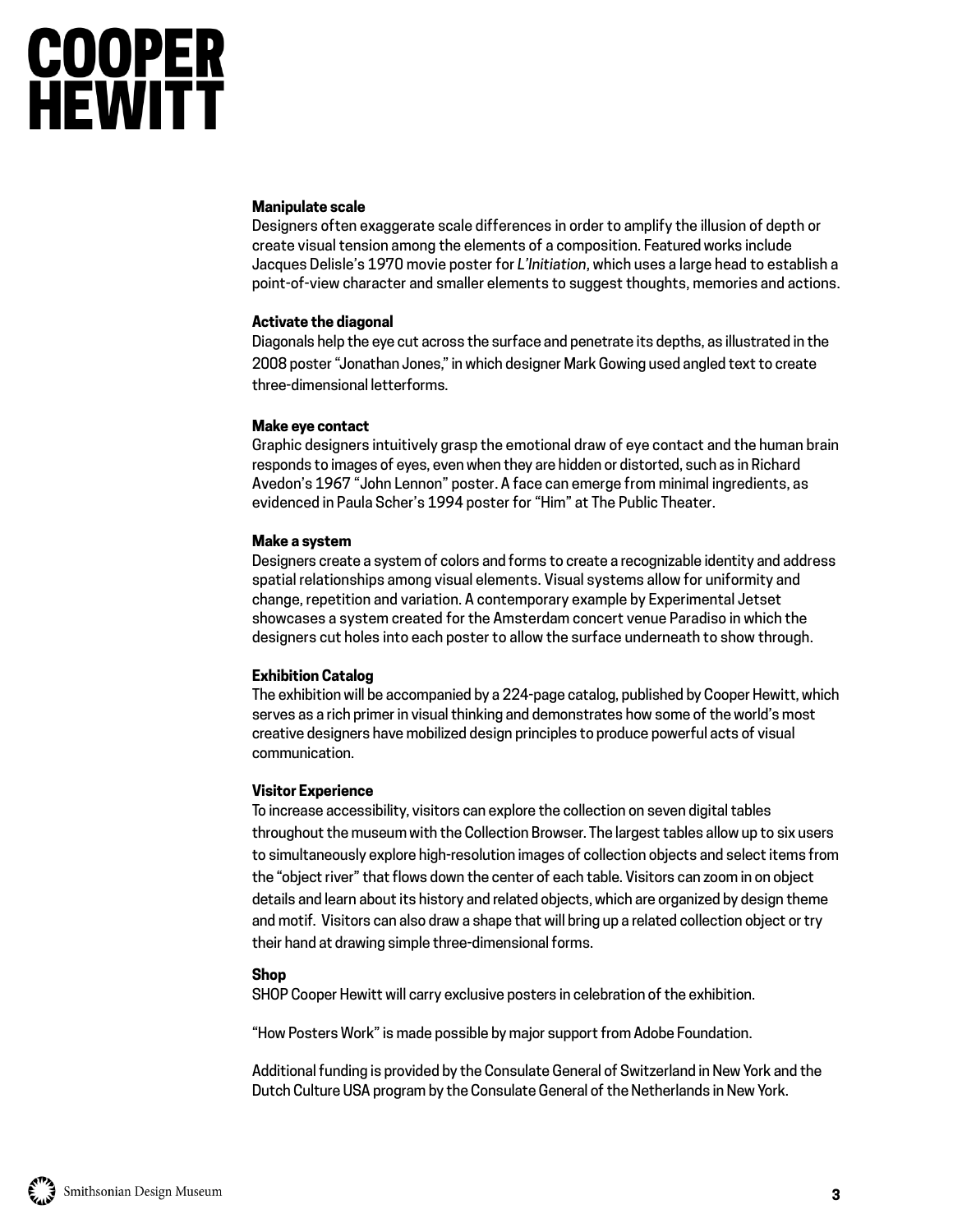# **COOPER<br>HEWITT**

#### **Manipulate scale**

Designers often exaggerate scale differences in order to amplify the illusion of depth or create visual tension among the elements of a composition. Featured works include Jacques Delisle's 1970 movie poster for *L'Initiation*, which uses a large head to establish a point-of-view character and smaller elements to suggest thoughts, memories and actions.

#### **Activate the diagonal**

Diagonals help the eye cut across the surface and penetrate its depths, as illustrated in the 2008 poster "Jonathan Jones," in which designer Mark Gowing used angled text to create three-dimensional letterforms.

#### **Make eye contact**

Graphic designers intuitively grasp the emotional draw of eye contact and the human brain responds to images of eyes, even when they are hidden or distorted, such as in Richard Avedon's 1967 "John Lennon" poster. A face can emerge from minimal ingredients, as evidenced in Paula Scher's 1994 poster for "Him" at The Public Theater.

#### **Make a system**

Designers create a system of colors and forms to create a recognizable identity and address spatial relationships among visual elements. Visual systems allow for uniformity and change, repetition and variation. A contemporary example by Experimental Jetset showcases a system created for the Amsterdam concert venue Paradiso in which the designers cut holes into each poster to allow the surface underneath to show through.

#### **Exhibition Catalog**

The exhibition will be accompanied by a 224-page catalog, published by Cooper Hewitt, which serves as a rich primer in visual thinking and demonstrates how some of the world's most creative designers have mobilized design principles to produce powerful acts of visual communication.

#### **Visitor Experience**

To increase accessibility, visitors can explore the collection on seven digital tables throughout the museum with the Collection Browser. The largest tables allow up to six users to simultaneously explore high-resolution images of collection objects and select items from the "object river" that flows down the center of each table. Visitors can zoom in on object details and learn about its history and related objects, which are organized by design theme and motif. Visitors can also draw a shape that will bring up a related collection object or try their hand at drawing simple three-dimensional forms.

#### **Shop**

SHOP Cooper Hewitt will carry exclusive posters in celebration of the exhibition.

"How Posters Work" is made possible by major support from Adobe Foundation.

Additional funding is provided by the Consulate General of Switzerland in New York and the Dutch Culture USA program by the Consulate General of the Netherlands in New York.